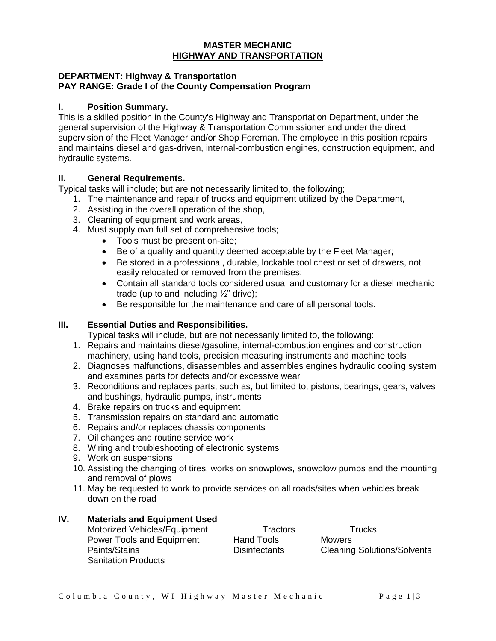#### **MASTER MECHANIC HIGHWAY AND TRANSPORTATION**

#### **DEPARTMENT: Highway & Transportation PAY RANGE: Grade I of the County Compensation Program**

## **I. Position Summary.**

This is a skilled position in the County's Highway and Transportation Department, under the general supervision of the Highway & Transportation Commissioner and under the direct supervision of the Fleet Manager and/or Shop Foreman. The employee in this position repairs and maintains diesel and gas-driven, internal-combustion engines, construction equipment, and hydraulic systems.

### **II. General Requirements.**

Typical tasks will include; but are not necessarily limited to, the following;

- 1. The maintenance and repair of trucks and equipment utilized by the Department,
- 2. Assisting in the overall operation of the shop,
- 3. Cleaning of equipment and work areas,
- 4. Must supply own full set of comprehensive tools;
	- Tools must be present on-site;
	- Be of a quality and quantity deemed acceptable by the Fleet Manager;
	- Be stored in a professional, durable, lockable tool chest or set of drawers, not easily relocated or removed from the premises;
	- Contain all standard tools considered usual and customary for a diesel mechanic trade (up to and including 1/2" drive);
	- Be responsible for the maintenance and care of all personal tools.

## **III. Essential Duties and Responsibilities.**

Typical tasks will include, but are not necessarily limited to, the following:

- 1. Repairs and maintains diesel/gasoline, internal-combustion engines and construction machinery, using hand tools, precision measuring instruments and machine tools
- 2. Diagnoses malfunctions, disassembles and assembles engines hydraulic cooling system and examines parts for defects and/or excessive wear
- 3. Reconditions and replaces parts, such as, but limited to, pistons, bearings, gears, valves and bushings, hydraulic pumps, instruments
- 4. Brake repairs on trucks and equipment
- 5. Transmission repairs on standard and automatic
- 6. Repairs and/or replaces chassis components
- 7. Oil changes and routine service work
- 8. Wiring and troubleshooting of electronic systems
- 9. Work on suspensions
- 10. Assisting the changing of tires, works on snowplows, snowplow pumps and the mounting and removal of plows
- 11. May be requested to work to provide services on all roads/sites when vehicles break down on the road

# **IV. Materials and Equipment Used**

Motorized Vehicles/Equipment Tractors Trucks Power Tools and Equipment Hand Tools Mowers Paints/Stains Disinfectants Cleaning Solutions/Solvents Sanitation Products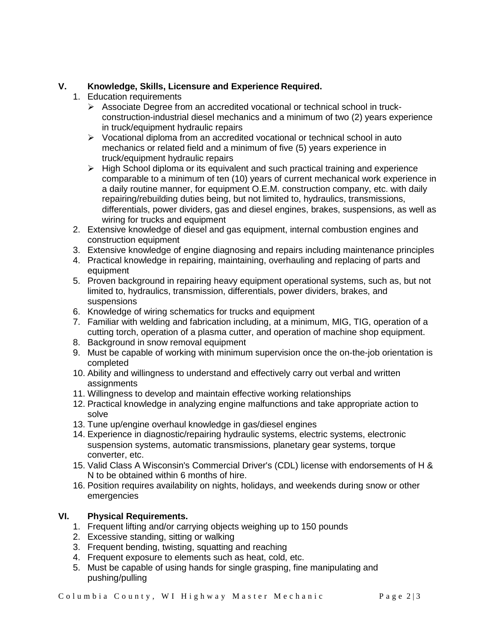## **V. Knowledge, Skills, Licensure and Experience Required.**

- 1. Education requirements
	- $\triangleright$  Associate Degree from an accredited vocational or technical school in truckconstruction-industrial diesel mechanics and a minimum of two (2) years experience in truck/equipment hydraulic repairs
	- $\triangleright$  Vocational diploma from an accredited vocational or technical school in auto mechanics or related field and a minimum of five (5) years experience in truck/equipment hydraulic repairs
	- $\triangleright$  High School diploma or its equivalent and such practical training and experience comparable to a minimum of ten (10) years of current mechanical work experience in a daily routine manner, for equipment O.E.M. construction company, etc. with daily repairing/rebuilding duties being, but not limited to, hydraulics, transmissions, differentials, power dividers, gas and diesel engines, brakes, suspensions, as well as wiring for trucks and equipment
- 2. Extensive knowledge of diesel and gas equipment, internal combustion engines and construction equipment
- 3. Extensive knowledge of engine diagnosing and repairs including maintenance principles
- 4. Practical knowledge in repairing, maintaining, overhauling and replacing of parts and equipment
- 5. Proven background in repairing heavy equipment operational systems, such as, but not limited to, hydraulics, transmission, differentials, power dividers, brakes, and suspensions
- 6. Knowledge of wiring schematics for trucks and equipment
- 7. Familiar with welding and fabrication including, at a minimum, MIG, TIG, operation of a cutting torch, operation of a plasma cutter, and operation of machine shop equipment.
- 8. Background in snow removal equipment
- 9. Must be capable of working with minimum supervision once the on-the-job orientation is completed
- 10. Ability and willingness to understand and effectively carry out verbal and written assignments
- 11. Willingness to develop and maintain effective working relationships
- 12. Practical knowledge in analyzing engine malfunctions and take appropriate action to solve
- 13. Tune up/engine overhaul knowledge in gas/diesel engines
- 14. Experience in diagnostic/repairing hydraulic systems, electric systems, electronic suspension systems, automatic transmissions, planetary gear systems, torque converter, etc.
- 15. Valid Class A Wisconsin's Commercial Driver's (CDL) license with endorsements of H & N to be obtained within 6 months of hire.
- 16. Position requires availability on nights, holidays, and weekends during snow or other emergencies

# **VI. Physical Requirements.**

- 1. Frequent lifting and/or carrying objects weighing up to 150 pounds
- 2. Excessive standing, sitting or walking
- 3. Frequent bending, twisting, squatting and reaching
- 4. Frequent exposure to elements such as heat, cold, etc.
- 5. Must be capable of using hands for single grasping, fine manipulating and pushing/pulling